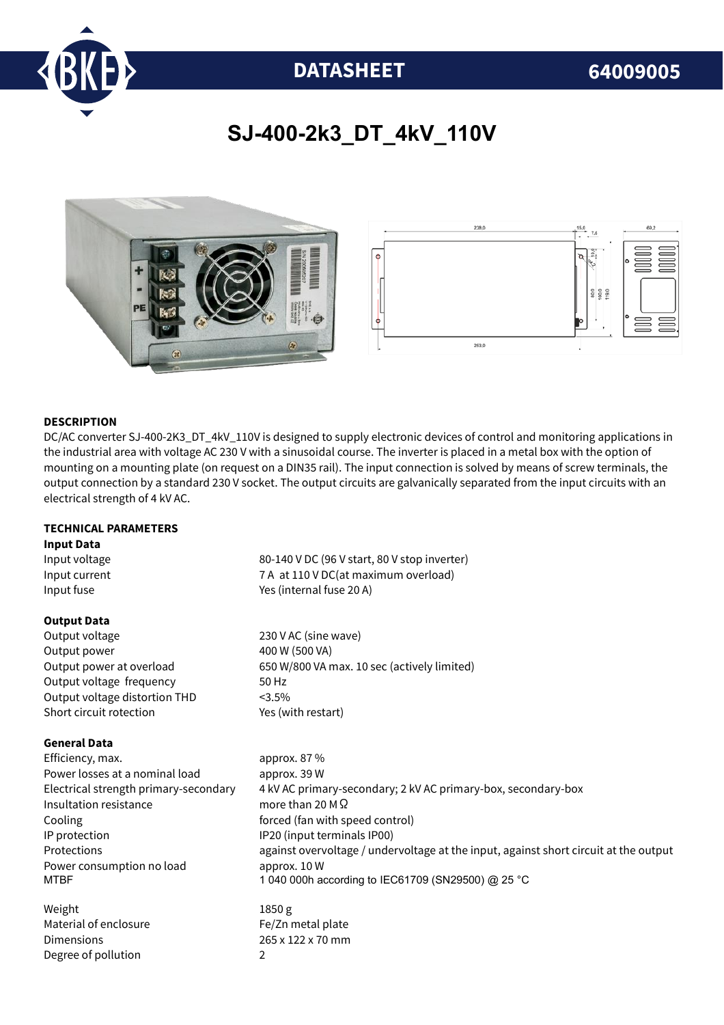

### **DATASHEET 64009005**

# **SJ-400-2k3\_DT\_4kV\_110V**





### **DESCRIPTION**

DC/AC converter SJ-400-2K3\_DT\_4kV\_110V is designed to supply electronic devices of control and monitoring applications in the industrial area with voltage AC 230 V with a sinusoidal course. The inverter is placed in a metal box with the option of mounting on a mounting plate (on request on a DIN35 rail). The input connection is solved by means of screw terminals, the output connection by a standard 230 V socket. The output circuits are galvanically separated from the input circuits with an electrical strength of 4 kV AC.

### **TECHNICAL PARAMETERS**

#### **Input Data**

Input voltage 80-140 V DC (96 V start, 80 V stop inverter) Input current 7 A at 110 V DC(at maximum overload) Input fuse The Matter of the Yes (internal fuse 20 A) **Output Data** Output voltage 230 V AC (sine wave) Output power 400 W (500 VA) Output power at overload 650 W/800 VA max. 10 sec (actively limited) Output voltage frequency 50 Hz Output voltage distortion THD <3.5% Short circuit rotection Yes (with restart) **General Data** Efficiency, max. approx. 87 % Power losses at a nominal load approx. 39 W Electrical strength primary-secondary 4 kV AC primary-secondary; 2 kV AC primary-box, secondary-box Insultation resistance more than 20 MΩ Cooling **forced** (fan with speed control) IP protection IP20 (input terminals IP00) Protections against overvoltage / undervoltage at the input, against short circuit at the output Power consumption no load approx. 10 W MTBF 1 040 000h according to IEC61709 (SN29500) @ 25 °C Weight 1850 g Material of enclosure Fe/Zn metal plate Dimensions 265 x 122 x 70 mm Degree of pollution 2